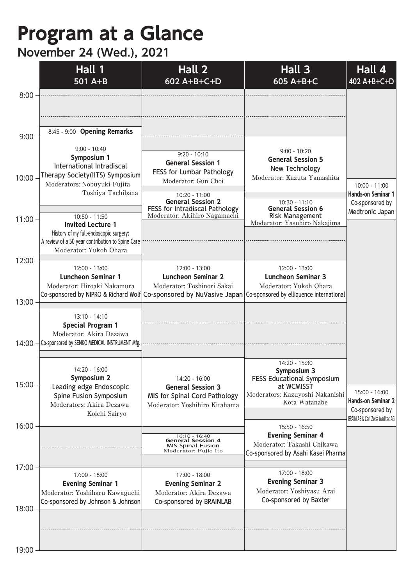## **Program at a Glance**

## **November 24 (Wed.), 2021**

|                | Hall 1<br>501 A+B                                                                                                                                                 | Hall 2<br>602 A+B+C+D                                                                                                                         | Hall 3<br>605 A+B+C                                                                                                                                                                  | Hall 4<br>402 A+B+C+D                                                                                 |
|----------------|-------------------------------------------------------------------------------------------------------------------------------------------------------------------|-----------------------------------------------------------------------------------------------------------------------------------------------|--------------------------------------------------------------------------------------------------------------------------------------------------------------------------------------|-------------------------------------------------------------------------------------------------------|
| 8:00           |                                                                                                                                                                   |                                                                                                                                               |                                                                                                                                                                                      |                                                                                                       |
| 9:00           | 8:45 - 9:00 Opening Remarks                                                                                                                                       |                                                                                                                                               |                                                                                                                                                                                      |                                                                                                       |
| 10:00          | $9:00 - 10:40$<br><b>Symposium 1</b><br>International Intradiscal<br>Therapy Society(IITS) Symposium<br>Moderators: Nobuyuki Fujita<br>Toshiya Tachibana          | $9:20 - 10:10$<br><b>General Session 1</b><br>FESS for Lumbar Pathology<br>Moderator: Gun Choi<br>$10:20 - 11:00$<br><b>General Session 2</b> | $9:00 - 10:20$<br><b>General Session 5</b><br>New Technology<br>Moderator: Kazuta Yamashita<br>10:30 - 11:10                                                                         | 10:00 - 11:00<br>Hands-on Seminar 1<br>Co-sponsored by                                                |
| $11:00 -$      | 10:50 - 11:50<br><b>Invited Lecture 1</b><br>History of my full-endoscopic surgery:<br>A review of a 50 year contribution to Spine Care<br>Moderator: Yukoh Ohara | FESS for Intradiscal Pathology<br>Moderator: Akihiro Nagamachi                                                                                | <b>General Session 6</b><br><b>Risk Management</b><br>Moderator: Yasuhiro Nakajima                                                                                                   | Medtronic Japan                                                                                       |
| 12:00<br>13:00 | 12:00 - 13:00<br><b>Luncheon Seminar 1</b><br>Moderator: Hiroaki Nakamura                                                                                         | 12:00 - 13:00<br><b>Luncheon Seminar 2</b><br>Moderator: Toshinori Sakai                                                                      | 12:00 - 13:00<br><b>Luncheon Seminar 3</b><br>Moderator: Yukoh Ohara<br>Co-sponsored by NIPRO & Richard Wolf Co-sponsored by NuVasive Japan Co-sponsored by elliquence international |                                                                                                       |
| 14:00          | 13:10 - 14:10<br><b>Special Program 1</b><br>Moderator: Akira Dezawa<br>Co-sponsored by SENKO MEDICAL INSTRUMENT Mfg.                                             |                                                                                                                                               |                                                                                                                                                                                      |                                                                                                       |
| 15:00          | 14:20 - 16:00<br><b>Symposium 2</b><br>Leading edge Endoscopic<br>Spine Fusion Symposium<br>Moderators: Akira Dezawa<br>Koichi Sairyo                             | 14:20 - 16:00<br><b>General Session 3</b><br>MIS for Spinal Cord Pathology<br>Moderator: Yoshihiro Kitahama                                   | 14:20 - 15:30<br>Symposium 3<br><b>FESS Educational Symposium</b><br>at WCMISST<br>Moderators: Kazuyoshi Nakanishi<br>Kota Watanabe                                                  | 15:00 - 16:00<br>Hands-on Seminar 2<br>Co-sponsored by<br><b>BRAINLAB &amp; Carl Zeiss Meditec AG</b> |
| 16:00          |                                                                                                                                                                   | 16:10 - 16:40<br><b>General Session 4</b><br><b>MIS Spinal Fusion</b><br>Moderator: Fujio Ito                                                 | 15:50 - 16:50<br><b>Evening Seminar 4</b><br>Moderator: Takashi Chikawa<br>Co-sponsored by Asahi Kasei Pharma                                                                        |                                                                                                       |
| 17:00          | 17:00 - 18:00<br><b>Evening Seminar 1</b><br>Moderator: Yoshiharu Kawaguchi<br>Co-sponsored by Johnson & Johnson                                                  | 17:00 - 18:00<br><b>Evening Seminar 2</b><br>Moderator: Akira Dezawa<br>Co-sponsored by BRAINLAB                                              | 17:00 - 18:00<br><b>Evening Seminar 3</b><br>Moderator: Yoshiyasu Arai<br>Co-sponsored by Baxter                                                                                     |                                                                                                       |
| 18:00          |                                                                                                                                                                   |                                                                                                                                               |                                                                                                                                                                                      |                                                                                                       |
| 19:00          |                                                                                                                                                                   |                                                                                                                                               |                                                                                                                                                                                      |                                                                                                       |